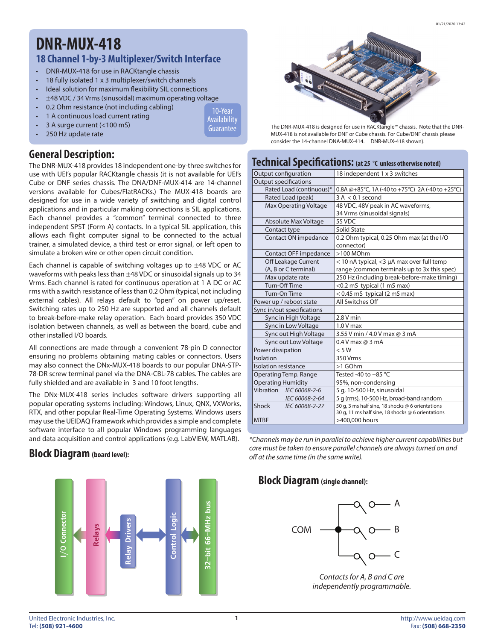#### 01/21/2020 13:42

## **DNR-MUX-418 18 Channel 1-by-3 Multiplexer/Switch Interface**

- DNR-MUX-418 for use in RACKtangle chassis
- 18 fully isolated 1 x 3 multiplexer/switch channels
- Ideal solution for maximum flexibility SIL connections
- ±48 VDC / 34 Vrms (sinusoidal) maximum operating voltage
- 0.2 Ohm resistance (not including cabling)
- 1 A continuous load current rating
- 3 A surge current (<100 mS)
- 250 Hz update rate

Availability Guarantee

10-Year

#### **General Description:**

The DNR-MUX-418 provides 18 independent one-by-three switches for use with UEI's popular RACKtangle chassis (it is not available for UEI's Cube or DNF series chassis. The DNA/DNF-MUX-414 are 14-channel versions available for Cubes/FlatRACKs.) The MUX-418 boards are designed for use in a wide variety of switching and digital control applications and in particular making connections is SIL applications. Each channel provides a "common" terminal connected to three independent SPST (Form A) contacts. In a typical SIL application, this allows each flight computer signal to be connected to the actual trainer, a simulated device, a third test or error signal, or left open to simulate a broken wire or other open circuit condition.

Each channel is capable of switching voltages up to ±48 VDC or AC waveforms with peaks less than ±48 VDC or sinusoidal signals up to 34 Vrms. Each channel is rated for continuous operation at 1 A DC or AC rms with a switch resistance of less than 0.2 Ohm (typical, not including external cables). All relays default to "open" on power up/reset. Switching rates up to 250 Hz are supported and all channels default to break-before-make relay operation. Each board provides 350 VDC isolation between channels, as well as between the board, cube and other installed I/O boards.

All connections are made through a convenient 78-pin D connector ensuring no problems obtaining mating cables or connectors. Users may also connect the DNx-MUX-418 boards to our popular DNA-STP-78-DR screw terminal panel via the DNA-CBL-78 cables. The cables are fully shielded and are available in 3 and 10 foot lengths.

The DNx-MUX-418 series includes software drivers supporting all popular operating systems including: Windows, Linux, QNX, VXWorks, RTX, and other popular Real-Time Operating Systems. Windows users may use the UEIDAQ Framework which provides a simple and complete software interface to all popular Windows programming languages and data acquisition and control applications (e.g. LabVIEW, MATLAB).

### **Block Diagram (board level):**





The DNR-MUX-418 is designed for use in RACKtangle™ chassis. Note that the DNR-MUX-418 is not available for DNF or Cube chassis. For Cube/DNF chassis please consider the 14-channel DNA-MUX-414. DNR-MUX-418 shown).

**Technical Specifications: (at 25 °C unless otherwise noted)**

|                              | <b>ICCITIIICAI SPECIIICACIOIIS.</b> (at 25 °C uniess otherwise noted) |  |  |  |
|------------------------------|-----------------------------------------------------------------------|--|--|--|
| Output configuration         | 18 independent 1 x 3 switches                                         |  |  |  |
| <b>Output specifications</b> |                                                                       |  |  |  |
| Rated Load (continuous)*     | 0.8A @+85°C, 1A (-40 to +75°C) 2A (-40 to +25°C)                      |  |  |  |
| Rated Load (peak)            | $3 A < 0.1$ second                                                    |  |  |  |
| Max Operating Voltage        | 48 VDC, 48V peak in AC waveforms,                                     |  |  |  |
|                              | 34 Vrms (sinusoidal signals)                                          |  |  |  |
| <b>Absolute Max Voltage</b>  | 55 VDC                                                                |  |  |  |
| Contact type                 | Solid State                                                           |  |  |  |
| Contact ON impedance         | 0.2 Ohm typical, 0.25 Ohm max (at the I/O                             |  |  |  |
|                              | connector)                                                            |  |  |  |
| Contact OFF impedance        | $>100$ MOhm                                                           |  |  |  |
| Off Leakage Current          | < 10 nA typical, <3 µA max over full temp                             |  |  |  |
| (A. B or C terminal)         | range (common terminals up to 3x this spec)                           |  |  |  |
| Max update rate              | 250 Hz (including break-before-make timing)                           |  |  |  |
| Turn-Off Time                | <0.2 mS typical (1 mS max)                                            |  |  |  |
| Turn-On Time                 | < 0.45 mS typical (2 mS max)                                          |  |  |  |
| Power up / reboot state      | All Switches Off                                                      |  |  |  |
| Sync in/out specifications   |                                                                       |  |  |  |
| Sync in High Voltage         | $2.8V$ min                                                            |  |  |  |
| Sync in Low Voltage          | $1.0V$ max                                                            |  |  |  |
| Sync out High Voltage        | 3.55 V min / 4.0 V max @ 3 mA                                         |  |  |  |
| Sync out Low Voltage         | $0.4$ V max $@$ 3 mA                                                  |  |  |  |
| Power dissipation            | < 5 W                                                                 |  |  |  |
| Isolation                    | 350 Vrms                                                              |  |  |  |
| Isolation resistance         | >1 GOhm                                                               |  |  |  |
| Operating Temp. Range        | Tested -40 to $+85$ °C                                                |  |  |  |
| <b>Operating Humidity</b>    | 95%, non-condensing                                                   |  |  |  |
| Vibration<br>IEC 60068-2-6   | 5 g, 10-500 Hz, sinusoidal                                            |  |  |  |
| IEC 60068-2-64               | 5 g (rms), 10-500 Hz, broad-band random                               |  |  |  |
| Shock<br>IEC 60068-2-27      | 50 g, 3 ms half sine, 18 shocks @ 6 orientations                      |  |  |  |
|                              | 30 g, 11 ms half sine, 18 shocks @ 6 orientations                     |  |  |  |
| <b>MTBF</b>                  | >400,000 hours                                                        |  |  |  |

*\*Channels may be run in parallel to achieve higher current capabilities but care must be taken to ensure parallel channels are always turned on and off at the same time (in the same write).*

#### **Block Diagram (single channel):**



*Contacts for A, B and C are independently programmable.*